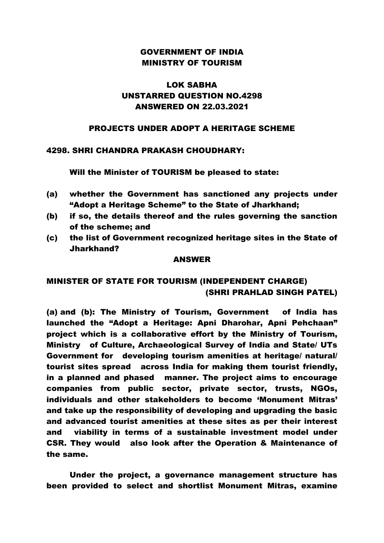### GOVERNMENT OF INDIA MINISTRY OF TOURISM

# LOK SABHA UNSTARRED QUESTION NO.4298 ANSWERED ON 22.03.2021

#### PROJECTS UNDER ADOPT A HERITAGE SCHEME

### 4298. SHRI CHANDRA PRAKASH CHOUDHARY:

Will the Minister of TOURISM be pleased to state:

- (a) whether the Government has sanctioned any projects under "Adopt a Heritage Scheme" to the State of Jharkhand;
- (b) if so, the details thereof and the rules governing the sanction of the scheme; and
- (c) the list of Government recognized heritage sites in the State of Jharkhand?

#### ANSWER

## MINISTER OF STATE FOR TOURISM (INDEPENDENT CHARGE) (SHRI PRAHLAD SINGH PATEL)

(a) and (b): The Ministry of Tourism, Government of India has launched the "Adopt a Heritage: Apni Dharohar, Apni Pehchaan" project which is a collaborative effort by the Ministry of Tourism, Ministry of Culture, Archaeological Survey of India and State/ UTs Government for developing tourism amenities at heritage/ natural/ tourist sites spread across India for making them tourist friendly, in a planned and phased manner. The project aims to encourage companies from public sector, private sector, trusts, NGOs, individuals and other stakeholders to become 'Monument Mitras' and take up the responsibility of developing and upgrading the basic and advanced tourist amenities at these sites as per their interest and viability in terms of a sustainable investment model under CSR. They would also look after the Operation & Maintenance of the same.

Under the project, a governance management structure has been provided to select and shortlist Monument Mitras, examine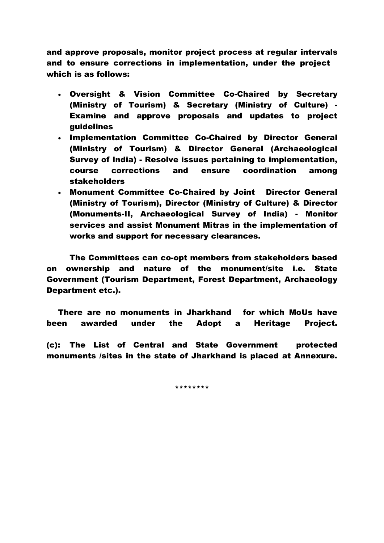and approve proposals, monitor project process at regular intervals and to ensure corrections in implementation, under the project which is as follows:

- Oversight & Vision Committee Co-Chaired by Secretary (Ministry of Tourism) & Secretary (Ministry of Culture) - Examine and approve proposals and updates to project guidelines
- Implementation Committee Co-Chaired by Director General (Ministry of Tourism) & Director General (Archaeological Survey of India) - Resolve issues pertaining to implementation, course corrections and ensure coordination among stakeholders
- Monument Committee Co-Chaired by Joint Director General (Ministry of Tourism), Director (Ministry of Culture) & Director (Monuments-II, Archaeological Survey of India) - Monitor services and assist Monument Mitras in the implementation of works and support for necessary clearances.

The Committees can co-opt members from stakeholders based on ownership and nature of the monument/site i.e. State Government (Tourism Department, Forest Department, Archaeology Department etc.).

There are no monuments in Jharkhand for which MoUs have been awarded under the Adopt a Heritage Project.

(c): The List of Central and State Government protected monuments /sites in the state of Jharkhand is placed at Annexure.

\*\*\*\*\*\*\*\*